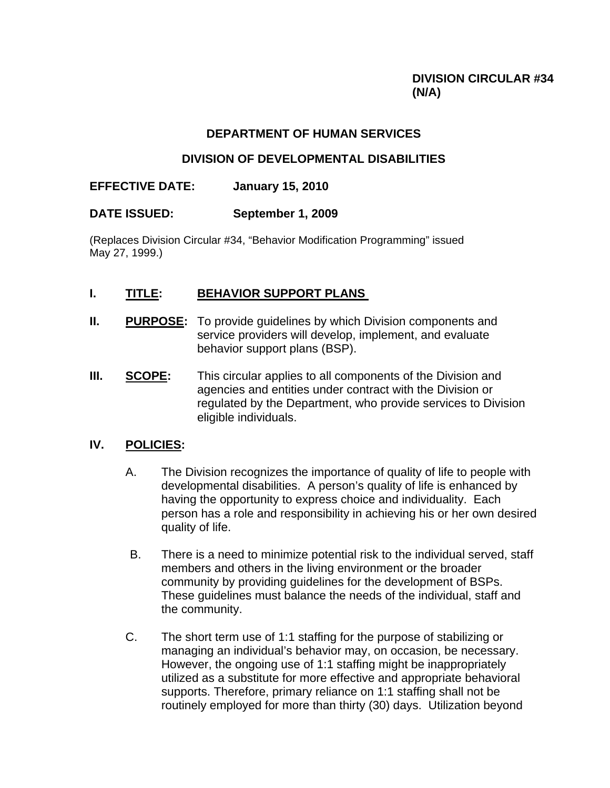## **DIVISION CIRCULAR #34 (N/A)**

## **DEPARTMENT OF HUMAN SERVICES**

## **DIVISION OF DEVELOPMENTAL DISABILITIES**

## **EFFECTIVE DATE: January 15, 2010**

## **DATE ISSUED: September 1, 2009**

(Replaces Division Circular #34, "Behavior Modification Programming" issued May 27, 1999.)

## **I. TITLE: BEHAVIOR SUPPORT PLANS**

- **II.** PURPOSE: To provide quidelines by which Division components and service providers will develop, implement, and evaluate behavior support plans (BSP).
- **III. SCOPE:** This circular applies to all components of the Division and agencies and entities under contract with the Division or regulated by the Department, who provide services to Division eligible individuals.

### **IV. POLICIES:**

- A. The Division recognizes the importance of quality of life to people with developmental disabilities. A person's quality of life is enhanced by having the opportunity to express choice and individuality. Each person has a role and responsibility in achieving his or her own desired quality of life.
- B. There is a need to minimize potential risk to the individual served, staff members and others in the living environment or the broader community by providing guidelines for the development of BSPs. These guidelines must balance the needs of the individual, staff and the community.
- C. The short term use of 1:1 staffing for the purpose of stabilizing or managing an individual's behavior may, on occasion, be necessary. However, the ongoing use of 1:1 staffing might be inappropriately utilized as a substitute for more effective and appropriate behavioral supports. Therefore, primary reliance on 1:1 staffing shall not be routinely employed for more than thirty (30) days. Utilization beyond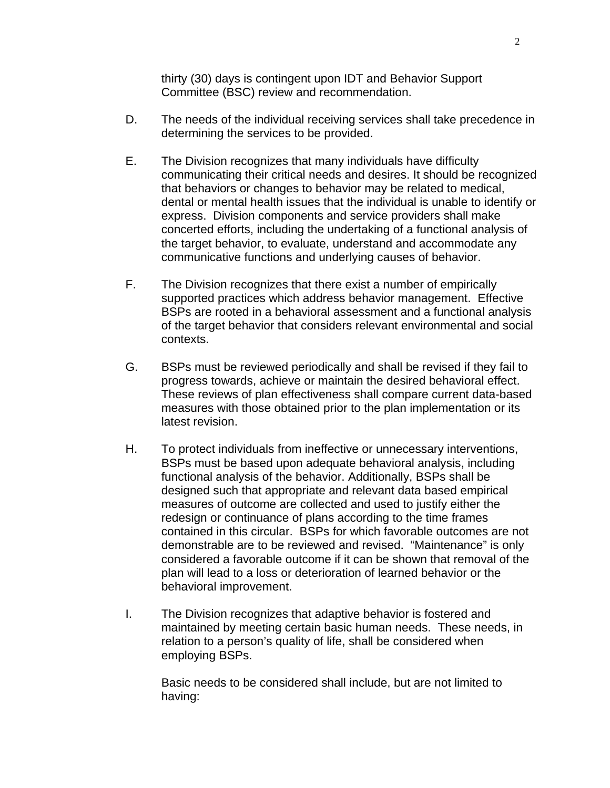thirty (30) days is contingent upon IDT and Behavior Support Committee (BSC) review and recommendation.

- D. The needs of the individual receiving services shall take precedence in determining the services to be provided.
- E. The Division recognizes that many individuals have difficulty communicating their critical needs and desires. It should be recognized that behaviors or changes to behavior may be related to medical, dental or mental health issues that the individual is unable to identify or express. Division components and service providers shall make concerted efforts, including the undertaking of a functional analysis of the target behavior, to evaluate, understand and accommodate any communicative functions and underlying causes of behavior.
- F. The Division recognizes that there exist a number of empirically supported practices which address behavior management. Effective BSPs are rooted in a behavioral assessment and a functional analysis of the target behavior that considers relevant environmental and social contexts.
- G. BSPs must be reviewed periodically and shall be revised if they fail to progress towards, achieve or maintain the desired behavioral effect. These reviews of plan effectiveness shall compare current data-based measures with those obtained prior to the plan implementation or its latest revision.
- H. To protect individuals from ineffective or unnecessary interventions, BSPs must be based upon adequate behavioral analysis, including functional analysis of the behavior. Additionally, BSPs shall be designed such that appropriate and relevant data based empirical measures of outcome are collected and used to justify either the redesign or continuance of plans according to the time frames contained in this circular. BSPs for which favorable outcomes are not demonstrable are to be reviewed and revised. "Maintenance" is only considered a favorable outcome if it can be shown that removal of the plan will lead to a loss or deterioration of learned behavior or the behavioral improvement.
- I. The Division recognizes that adaptive behavior is fostered and maintained by meeting certain basic human needs. These needs, in relation to a person's quality of life, shall be considered when employing BSPs.

Basic needs to be considered shall include, but are not limited to having: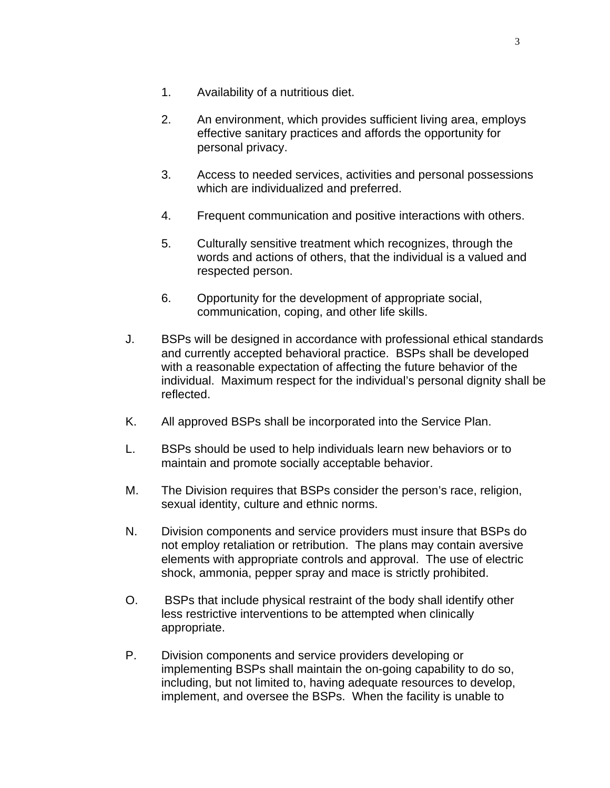- 1. Availability of a nutritious diet.
- 2. An environment, which provides sufficient living area, employs effective sanitary practices and affords the opportunity for personal privacy.
- 3. Access to needed services, activities and personal possessions which are individualized and preferred.
- 4. Frequent communication and positive interactions with others.
- 5. Culturally sensitive treatment which recognizes, through the words and actions of others, that the individual is a valued and respected person.
- 6. Opportunity for the development of appropriate social, communication, coping, and other life skills.
- J. BSPs will be designed in accordance with professional ethical standards and currently accepted behavioral practice. BSPs shall be developed with a reasonable expectation of affecting the future behavior of the individual. Maximum respect for the individual's personal dignity shall be reflected.
- K. All approved BSPs shall be incorporated into the Service Plan.
- L. BSPs should be used to help individuals learn new behaviors or to maintain and promote socially acceptable behavior.
- M. The Division requires that BSPs consider the person's race, religion, sexual identity, culture and ethnic norms.
- N. Division components and service providers must insure that BSPs do not employ retaliation or retribution. The plans may contain aversive elements with appropriate controls and approval. The use of electric shock, ammonia, pepper spray and mace is strictly prohibited.
- O. BSPs that include physical restraint of the body shall identify other less restrictive interventions to be attempted when clinically appropriate.
- P. Division components and service providers developing or implementing BSPs shall maintain the on-going capability to do so, including, but not limited to, having adequate resources to develop, implement, and oversee the BSPs. When the facility is unable to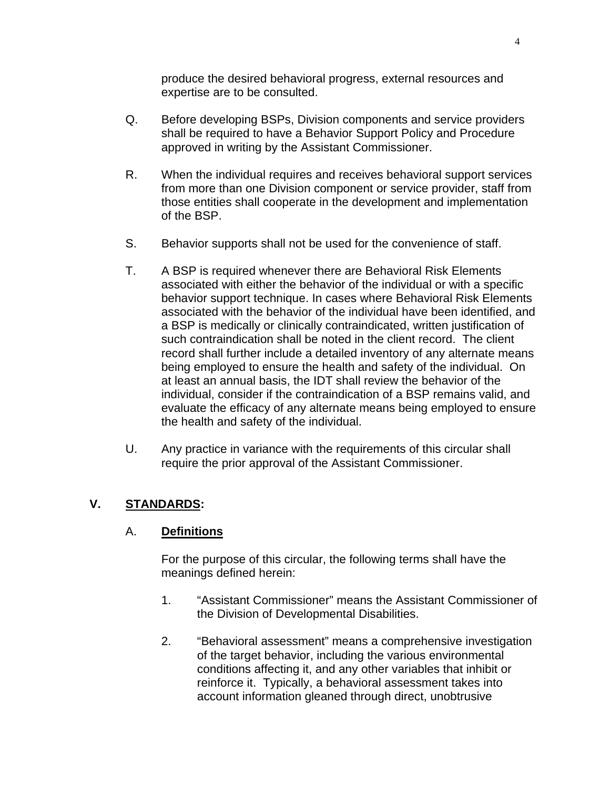produce the desired behavioral progress, external resources and expertise are to be consulted.

- Q. Before developing BSPs, Division components and service providers shall be required to have a Behavior Support Policy and Procedure approved in writing by the Assistant Commissioner.
- R. When the individual requires and receives behavioral support services from more than one Division component or service provider, staff from those entities shall cooperate in the development and implementation of the BSP.
- S. Behavior supports shall not be used for the convenience of staff.
- T. A BSP is required whenever there are Behavioral Risk Elements associated with either the behavior of the individual or with a specific behavior support technique. In cases where Behavioral Risk Elements associated with the behavior of the individual have been identified, and a BSP is medically or clinically contraindicated, written justification of such contraindication shall be noted in the client record. The client record shall further include a detailed inventory of any alternate means being employed to ensure the health and safety of the individual. On at least an annual basis, the IDT shall review the behavior of the individual, consider if the contraindication of a BSP remains valid, and evaluate the efficacy of any alternate means being employed to ensure the health and safety of the individual.
- U. Any practice in variance with the requirements of this circular shall require the prior approval of the Assistant Commissioner.

# **V. STANDARDS:**

## A. **Definitions**

For the purpose of this circular, the following terms shall have the meanings defined herein:

- 1. "Assistant Commissioner" means the Assistant Commissioner of the Division of Developmental Disabilities.
- 2. "Behavioral assessment" means a comprehensive investigation of the target behavior, including the various environmental conditions affecting it, and any other variables that inhibit or reinforce it. Typically, a behavioral assessment takes into account information gleaned through direct, unobtrusive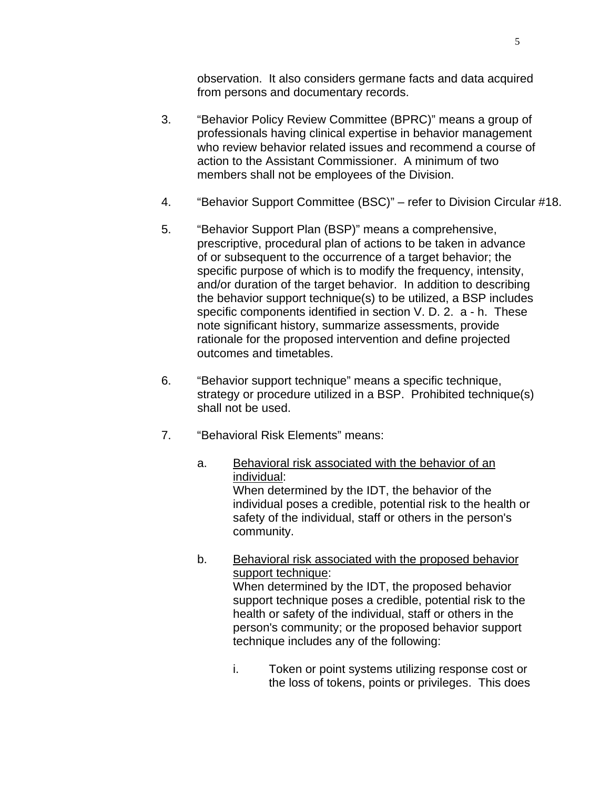observation. It also considers germane facts and data acquired from persons and documentary records.

- 3. "Behavior Policy Review Committee (BPRC)" means a group of professionals having clinical expertise in behavior management who review behavior related issues and recommend a course of action to the Assistant Commissioner. A minimum of two members shall not be employees of the Division.
- 4. "Behavior Support Committee (BSC)" refer to Division Circular #18.
- 5. "Behavior Support Plan (BSP)" means a comprehensive, prescriptive, procedural plan of actions to be taken in advance of or subsequent to the occurrence of a target behavior; the specific purpose of which is to modify the frequency, intensity, and/or duration of the target behavior. In addition to describing the behavior support technique(s) to be utilized, a BSP includes specific components identified in section V. D. 2. a - h. These note significant history, summarize assessments, provide rationale for the proposed intervention and define projected outcomes and timetables.
- 6. "Behavior support technique" means a specific technique, strategy or procedure utilized in a BSP. Prohibited technique(s) shall not be used.
- 7. "Behavioral Risk Elements" means:

# a. Behavioral risk associated with the behavior of an individual: When determined by the IDT, the behavior of the individual poses a credible, potential risk to the health or safety of the individual, staff or others in the person's community.

- b. Behavioral risk associated with the proposed behavior support technique: When determined by the IDT, the proposed behavior support technique poses a credible, potential risk to the health or safety of the individual, staff or others in the person's community; or the proposed behavior support technique includes any of the following:
	- i. Token or point systems utilizing response cost or the loss of tokens, points or privileges. This does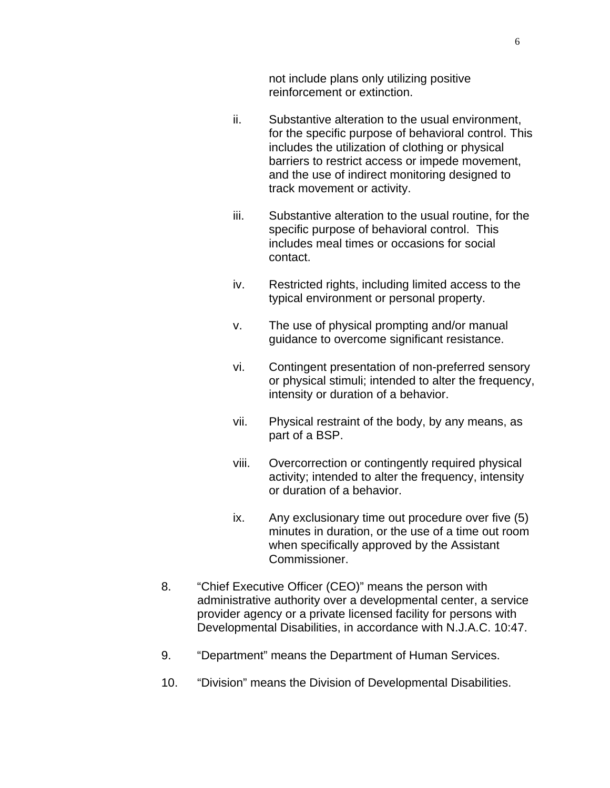not include plans only utilizing positive reinforcement or extinction.

- ii. Substantive alteration to the usual environment, for the specific purpose of behavioral control. This includes the utilization of clothing or physical barriers to restrict access or impede movement, and the use of indirect monitoring designed to track movement or activity.
- iii. Substantive alteration to the usual routine, for the specific purpose of behavioral control. This includes meal times or occasions for social contact.
- iv. Restricted rights, including limited access to the typical environment or personal property.
- v. The use of physical prompting and/or manual guidance to overcome significant resistance.
- vi. Contingent presentation of non-preferred sensory or physical stimuli; intended to alter the frequency, intensity or duration of a behavior.
- vii. Physical restraint of the body, by any means, as part of a BSP.
- viii. Overcorrection or contingently required physical activity; intended to alter the frequency, intensity or duration of a behavior.
- ix. Any exclusionary time out procedure over five (5) minutes in duration, or the use of a time out room when specifically approved by the Assistant Commissioner.
- 8. "Chief Executive Officer (CEO)" means the person with administrative authority over a developmental center, a service provider agency or a private licensed facility for persons with Developmental Disabilities, in accordance with N.J.A.C. 10:47.
- 9. "Department" means the Department of Human Services.
- 10. "Division" means the Division of Developmental Disabilities.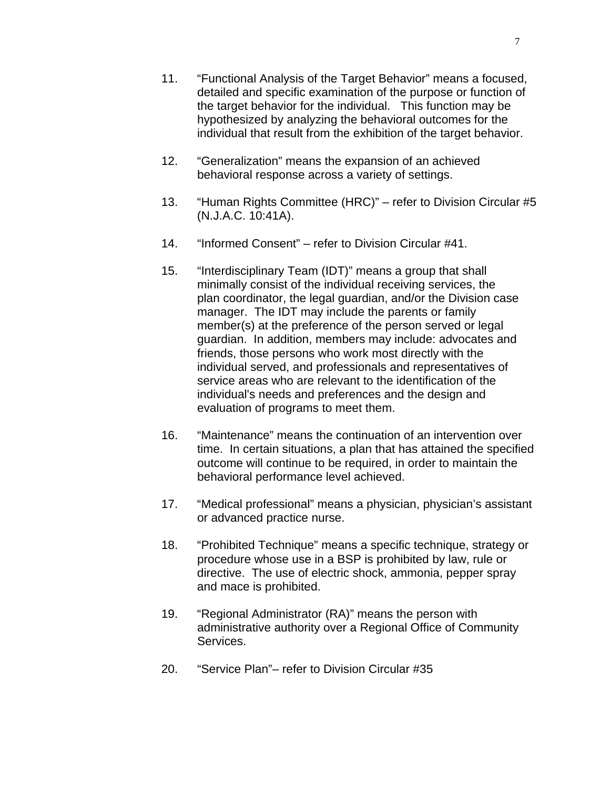- 11. "Functional Analysis of the Target Behavior" means a focused, detailed and specific examination of the purpose or function of the target behavior for the individual. This function may be hypothesized by analyzing the behavioral outcomes for the individual that result from the exhibition of the target behavior.
- 12. "Generalization" means the expansion of an achieved behavioral response across a variety of settings.
- 13. "Human Rights Committee (HRC)" refer to Division Circular #5 (N.J.A.C. 10:41A).
- 14. "Informed Consent" refer to Division Circular #41.
- 15. "Interdisciplinary Team (IDT)" means a group that shall minimally consist of the individual receiving services, the plan coordinator, the legal guardian, and/or the Division case manager. The IDT may include the parents or family member(s) at the preference of the person served or legal guardian. In addition, members may include: advocates and friends, those persons who work most directly with the individual served, and professionals and representatives of service areas who are relevant to the identification of the individual's needs and preferences and the design and evaluation of programs to meet them.
- 16. "Maintenance" means the continuation of an intervention over time. In certain situations, a plan that has attained the specified outcome will continue to be required, in order to maintain the behavioral performance level achieved.
- 17. "Medical professional" means a physician, physician's assistant or advanced practice nurse.
- 18. "Prohibited Technique" means a specific technique, strategy or procedure whose use in a BSP is prohibited by law, rule or directive. The use of electric shock, ammonia, pepper spray and mace is prohibited.
- 19. "Regional Administrator (RA)" means the person with administrative authority over a Regional Office of Community Services.
- 20. "Service Plan"– refer to Division Circular #35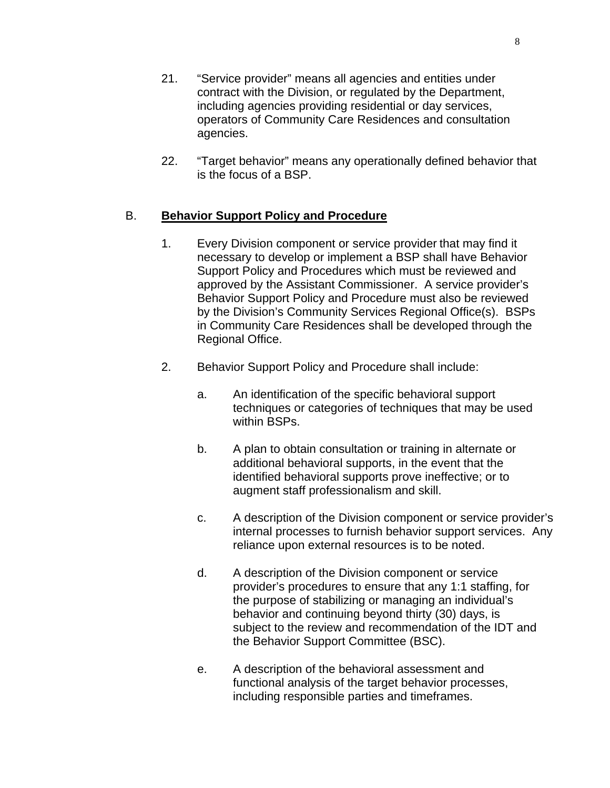- 21. "Service provider" means all agencies and entities under contract with the Division, or regulated by the Department, including agencies providing residential or day services, operators of Community Care Residences and consultation agencies.
- 22. "Target behavior" means any operationally defined behavior that is the focus of a BSP.

# B. **Behavior Support Policy and Procedure**

- 1. Every Division component or service provider that may find it necessary to develop or implement a BSP shall have Behavior Support Policy and Procedures which must be reviewed and approved by the Assistant Commissioner. A service provider's Behavior Support Policy and Procedure must also be reviewed by the Division's Community Services Regional Office(s). BSPs in Community Care Residences shall be developed through the Regional Office.
- 2. Behavior Support Policy and Procedure shall include:
	- a. An identification of the specific behavioral support techniques or categories of techniques that may be used within BSPs.
	- b. A plan to obtain consultation or training in alternate or additional behavioral supports, in the event that the identified behavioral supports prove ineffective; or to augment staff professionalism and skill.
	- c. A description of the Division component or service provider's internal processes to furnish behavior support services. Any reliance upon external resources is to be noted.
	- d. A description of the Division component or service provider's procedures to ensure that any 1:1 staffing, for the purpose of stabilizing or managing an individual's behavior and continuing beyond thirty (30) days, is subject to the review and recommendation of the IDT and the Behavior Support Committee (BSC).
	- e. A description of the behavioral assessment and functional analysis of the target behavior processes, including responsible parties and timeframes.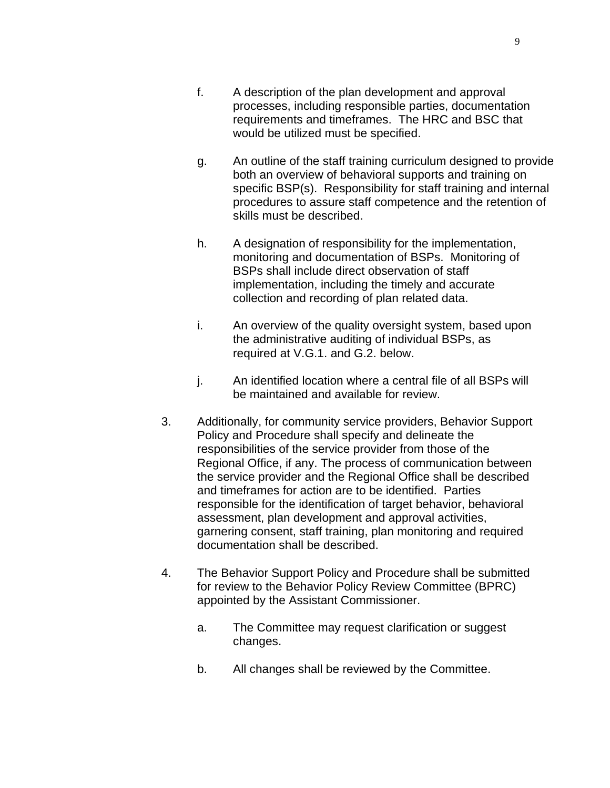- f. A description of the plan development and approval processes, including responsible parties, documentation requirements and timeframes. The HRC and BSC that would be utilized must be specified.
- g. An outline of the staff training curriculum designed to provide both an overview of behavioral supports and training on specific BSP(s). Responsibility for staff training and internal procedures to assure staff competence and the retention of skills must be described.
- h. A designation of responsibility for the implementation, monitoring and documentation of BSPs. Monitoring of BSPs shall include direct observation of staff implementation, including the timely and accurate collection and recording of plan related data.
- i. An overview of the quality oversight system, based upon the administrative auditing of individual BSPs, as required at V.G.1. and G.2. below.
- j. An identified location where a central file of all BSPs will be maintained and available for review.
- 3. Additionally, for community service providers, Behavior Support Policy and Procedure shall specify and delineate the responsibilities of the service provider from those of the Regional Office, if any. The process of communication between the service provider and the Regional Office shall be described and timeframes for action are to be identified. Parties responsible for the identification of target behavior, behavioral assessment, plan development and approval activities, garnering consent, staff training, plan monitoring and required documentation shall be described.
- 4. The Behavior Support Policy and Procedure shall be submitted for review to the Behavior Policy Review Committee (BPRC) appointed by the Assistant Commissioner.
	- a. The Committee may request clarification or suggest changes.
	- b. All changes shall be reviewed by the Committee.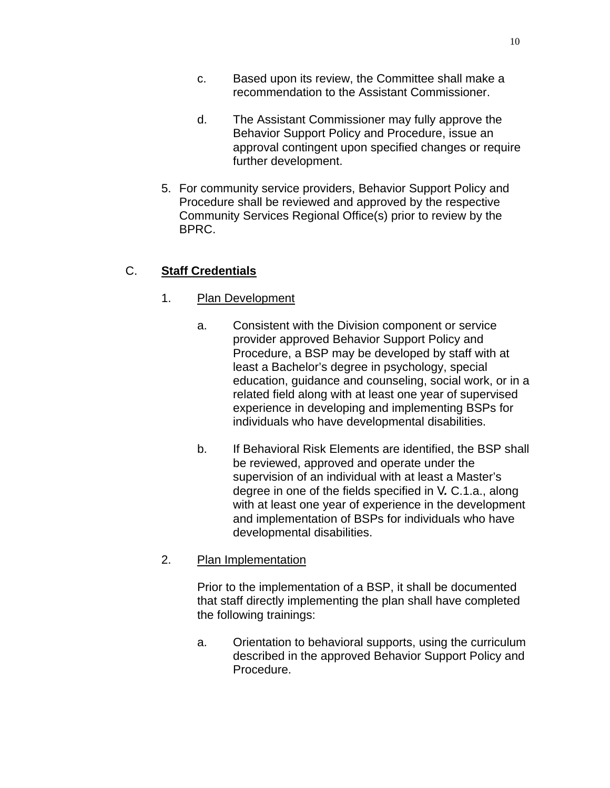- d. The Assistant Commissioner may fully approve the Behavior Support Policy and Procedure, issue an approval contingent upon specified changes or require further development.
- 5. For community service providers, Behavior Support Policy and Procedure shall be reviewed and approved by the respective Community Services Regional Office(s) prior to review by the BPRC.

# C. **Staff Credentials**

# 1. Plan Development

- a. Consistent with the Division component or service provider approved Behavior Support Policy and Procedure, a BSP may be developed by staff with at least a Bachelor's degree in psychology, special education, guidance and counseling, social work, or in a related field along with at least one year of supervised experience in developing and implementing BSPs for individuals who have developmental disabilities.
- b. If Behavioral Risk Elements are identified, the BSP shall be reviewed, approved and operate under the supervision of an individual with at least a Master's degree in one of the fields specified in V*.* C.1.a., along with at least one year of experience in the development and implementation of BSPs for individuals who have developmental disabilities.

# 2. Plan Implementation

Prior to the implementation of a BSP, it shall be documented that staff directly implementing the plan shall have completed the following trainings:

a. Orientation to behavioral supports, using the curriculum described in the approved Behavior Support Policy and Procedure.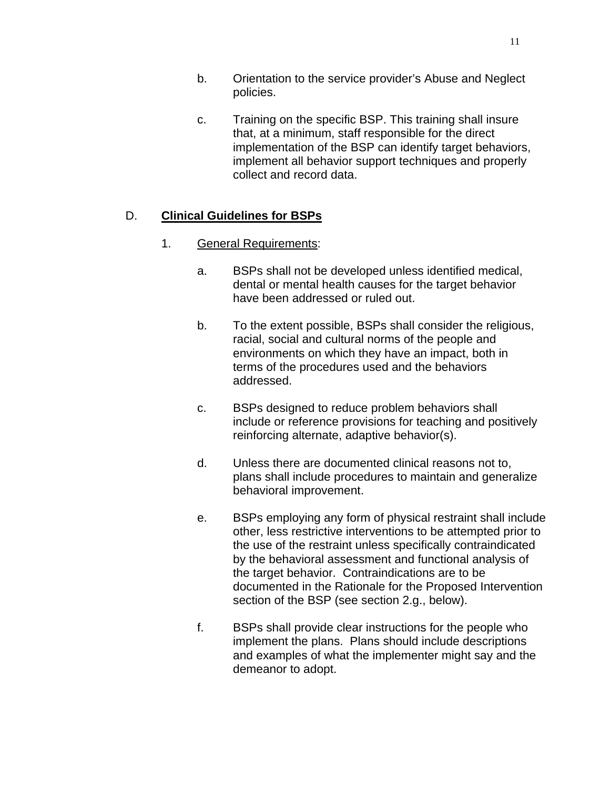- b. Orientation to the service provider's Abuse and Neglect policies.
- c. Training on the specific BSP. This training shall insure that, at a minimum, staff responsible for the direct implementation of the BSP can identify target behaviors, implement all behavior support techniques and properly collect and record data.

### D. **Clinical Guidelines for BSPs**

- 1. General Requirements:
	- a. BSPs shall not be developed unless identified medical, dental or mental health causes for the target behavior have been addressed or ruled out.
	- b. To the extent possible, BSPs shall consider the religious, racial, social and cultural norms of the people and environments on which they have an impact, both in terms of the procedures used and the behaviors addressed.
	- c. BSPs designed to reduce problem behaviors shall include or reference provisions for teaching and positively reinforcing alternate, adaptive behavior(s).
	- d. Unless there are documented clinical reasons not to, plans shall include procedures to maintain and generalize behavioral improvement.
	- e. BSPs employing any form of physical restraint shall include other, less restrictive interventions to be attempted prior to the use of the restraint unless specifically contraindicated by the behavioral assessment and functional analysis of the target behavior. Contraindications are to be documented in the Rationale for the Proposed Intervention section of the BSP (see section 2.g., below).
	- f. BSPs shall provide clear instructions for the people who implement the plans. Plans should include descriptions and examples of what the implementer might say and the demeanor to adopt.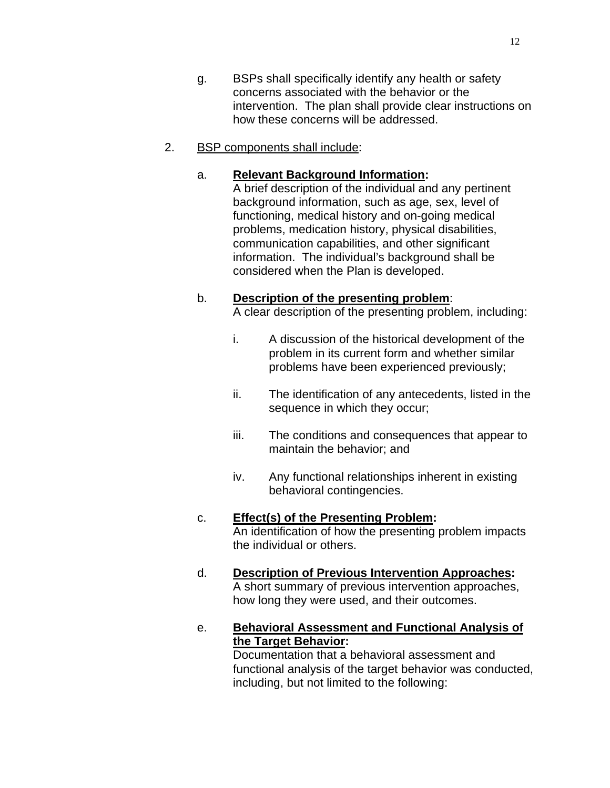- g. BSPs shall specifically identify any health or safety concerns associated with the behavior or the intervention. The plan shall provide clear instructions on how these concerns will be addressed.
- 2. BSP components shall include:

### a. **Relevant Background Information:**

A brief description of the individual and any pertinent background information, such as age, sex, level of functioning, medical history and on-going medical problems, medication history, physical disabilities, communication capabilities, and other significant information. The individual's background shall be considered when the Plan is developed.

## b. **Description of the presenting problem**:

A clear description of the presenting problem, including:

- i. A discussion of the historical development of the problem in its current form and whether similar problems have been experienced previously;
- ii. The identification of any antecedents, listed in the sequence in which they occur;
- iii. The conditions and consequences that appear to maintain the behavior; and
- iv. Any functional relationships inherent in existing behavioral contingencies.

# c. **Effect(s) of the Presenting Problem:**

An identification of how the presenting problem impacts the individual or others.

### d. **Description of Previous Intervention Approaches:**  A short summary of previous intervention approaches, how long they were used, and their outcomes.

e. **Behavioral Assessment and Functional Analysis of the Target Behavior:** 

> Documentation that a behavioral assessment and functional analysis of the target behavior was conducted, including, but not limited to the following: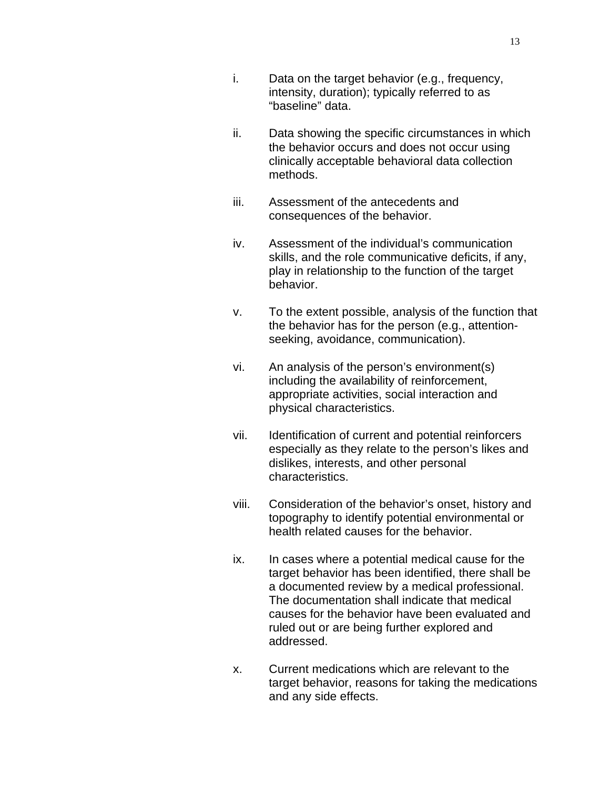- i. Data on the target behavior (e.g., frequency, intensity, duration); typically referred to as "baseline" data.
- ii. Data showing the specific circumstances in which the behavior occurs and does not occur using clinically acceptable behavioral data collection methods.
- iii. Assessment of the antecedents and consequences of the behavior.
- iv. Assessment of the individual's communication skills, and the role communicative deficits, if any, play in relationship to the function of the target behavior.
- v. To the extent possible, analysis of the function that the behavior has for the person (e.g., attentionseeking, avoidance, communication).
- vi. An analysis of the person's environment(s) including the availability of reinforcement, appropriate activities, social interaction and physical characteristics.
- vii. Identification of current and potential reinforcers especially as they relate to the person's likes and dislikes, interests, and other personal characteristics.
- viii. Consideration of the behavior's onset, history and topography to identify potential environmental or health related causes for the behavior.
- ix. In cases where a potential medical cause for the target behavior has been identified, there shall be a documented review by a medical professional. The documentation shall indicate that medical causes for the behavior have been evaluated and ruled out or are being further explored and addressed.
- x. Current medications which are relevant to the target behavior, reasons for taking the medications and any side effects.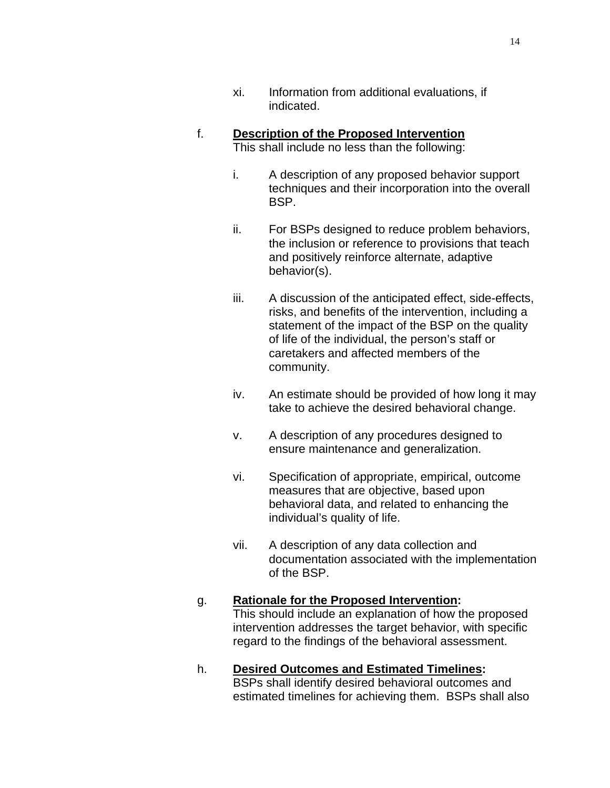## f. **Description of the Proposed Intervention** This shall include no less than the following:

- i. A description of any proposed behavior support techniques and their incorporation into the overall BSP.
- ii. For BSPs designed to reduce problem behaviors, the inclusion or reference to provisions that teach and positively reinforce alternate, adaptive behavior(s).
- iii. A discussion of the anticipated effect, side-effects, risks, and benefits of the intervention, including a statement of the impact of the BSP on the quality of life of the individual, the person's staff or caretakers and affected members of the community.
- iv. An estimate should be provided of how long it may take to achieve the desired behavioral change.
- v. A description of any procedures designed to ensure maintenance and generalization.
- vi. Specification of appropriate, empirical, outcome measures that are objective, based upon behavioral data, and related to enhancing the individual's quality of life.
- vii. A description of any data collection and documentation associated with the implementation of the BSP.

# g. **Rationale for the Proposed Intervention:**  This should include an explanation of how the proposed

intervention addresses the target behavior, with specific regard to the findings of the behavioral assessment.

### h. **Desired Outcomes and Estimated Timelines:**  BSPs shall identify desired behavioral outcomes and estimated timelines for achieving them. BSPs shall also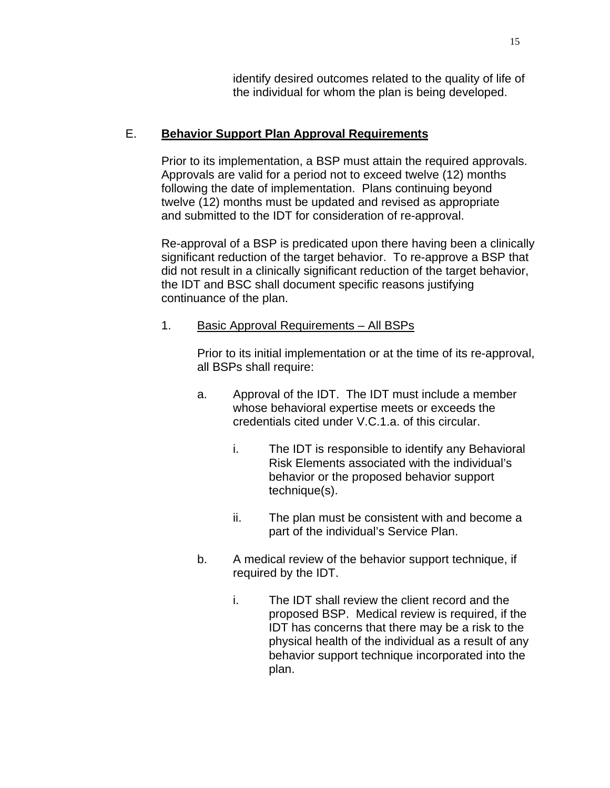identify desired outcomes related to the quality of life of the individual for whom the plan is being developed.

# E. **Behavior Support Plan Approval Requirements**

Prior to its implementation, a BSP must attain the required approvals. Approvals are valid for a period not to exceed twelve (12) months following the date of implementation. Plans continuing beyond twelve (12) months must be updated and revised as appropriate and submitted to the IDT for consideration of re-approval.

Re-approval of a BSP is predicated upon there having been a clinically significant reduction of the target behavior. To re-approve a BSP that did not result in a clinically significant reduction of the target behavior, the IDT and BSC shall document specific reasons justifying continuance of the plan.

# 1. Basic Approval Requirements – All BSPs

Prior to its initial implementation or at the time of its re-approval, all BSPs shall require:

- a. Approval of the IDT. The IDT must include a member whose behavioral expertise meets or exceeds the credentials cited under V.C.1.a. of this circular.
	- i. The IDT is responsible to identify any Behavioral Risk Elements associated with the individual's behavior or the proposed behavior support technique(s).
	- ii. The plan must be consistent with and become a part of the individual's Service Plan.
- b. A medical review of the behavior support technique, if required by the IDT.
	- i. The IDT shall review the client record and the proposed BSP. Medical review is required, if the IDT has concerns that there may be a risk to the physical health of the individual as a result of any behavior support technique incorporated into the plan.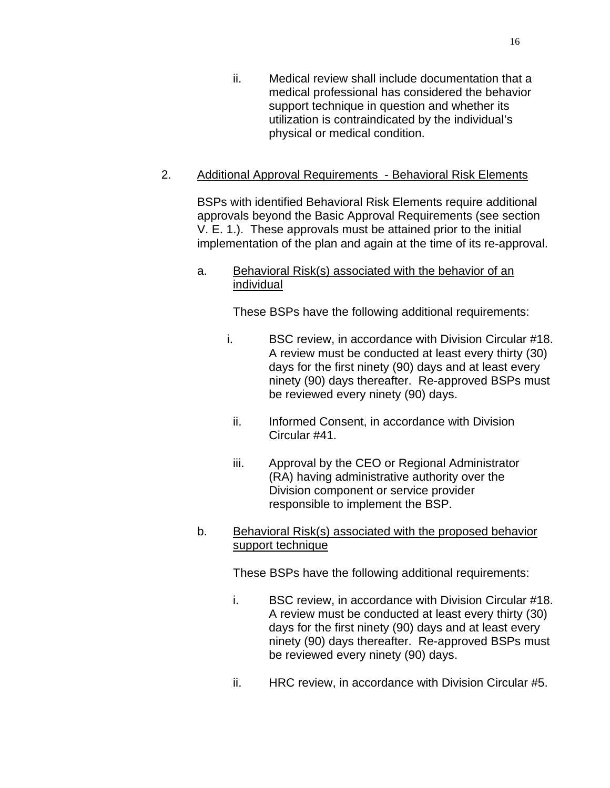ii. Medical review shall include documentation that a medical professional has considered the behavior support technique in question and whether its utilization is contraindicated by the individual's physical or medical condition.

# 2. Additional Approval Requirements - Behavioral Risk Elements

BSPs with identified Behavioral Risk Elements require additional approvals beyond the Basic Approval Requirements (see section V. E. 1.). These approvals must be attained prior to the initial implementation of the plan and again at the time of its re-approval.

## a. Behavioral Risk(s) associated with the behavior of an individual

These BSPs have the following additional requirements:

- i. BSC review, in accordance with Division Circular #18. A review must be conducted at least every thirty (30) days for the first ninety (90) days and at least every ninety (90) days thereafter. Re-approved BSPs must be reviewed every ninety (90) days.
	- ii. Informed Consent, in accordance with Division Circular #41.
	- iii. Approval by the CEO or Regional Administrator (RA) having administrative authority over the Division component or service provider responsible to implement the BSP.
- b. Behavioral Risk(s) associated with the proposed behavior support technique

These BSPs have the following additional requirements:

- i. BSC review, in accordance with Division Circular #18. A review must be conducted at least every thirty (30) days for the first ninety (90) days and at least every ninety (90) days thereafter. Re-approved BSPs must be reviewed every ninety (90) days.
- ii. HRC review, in accordance with Division Circular #5.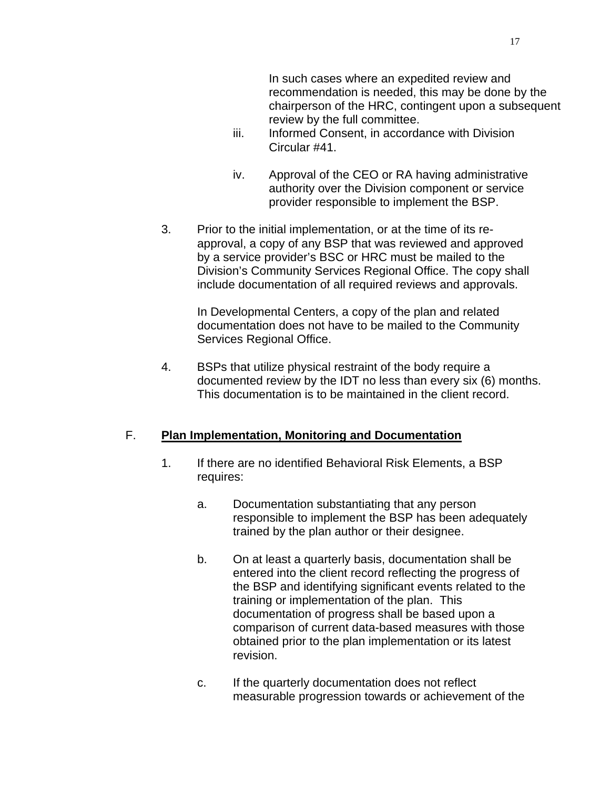In such cases where an expedited review and recommendation is needed, this may be done by the chairperson of the HRC, contingent upon a subsequent review by the full committee.

- iii. Informed Consent, in accordance with Division Circular #41.
- iv. Approval of the CEO or RA having administrative authority over the Division component or service provider responsible to implement the BSP.
- 3. Prior to the initial implementation, or at the time of its reapproval, a copy of any BSP that was reviewed and approved by a service provider's BSC or HRC must be mailed to the Division's Community Services Regional Office. The copy shall include documentation of all required reviews and approvals.

In Developmental Centers, a copy of the plan and related documentation does not have to be mailed to the Community Services Regional Office.

4. BSPs that utilize physical restraint of the body require a documented review by the IDT no less than every six (6) months. This documentation is to be maintained in the client record.

## F. **Plan Implementation, Monitoring and Documentation**

- 1. If there are no identified Behavioral Risk Elements, a BSP requires:
	- a. Documentation substantiating that any person responsible to implement the BSP has been adequately trained by the plan author or their designee.
	- b. On at least a quarterly basis, documentation shall be entered into the client record reflecting the progress of the BSP and identifying significant events related to the training or implementation of the plan. This documentation of progress shall be based upon a comparison of current data-based measures with those obtained prior to the plan implementation or its latest revision.
	- c. If the quarterly documentation does not reflect measurable progression towards or achievement of the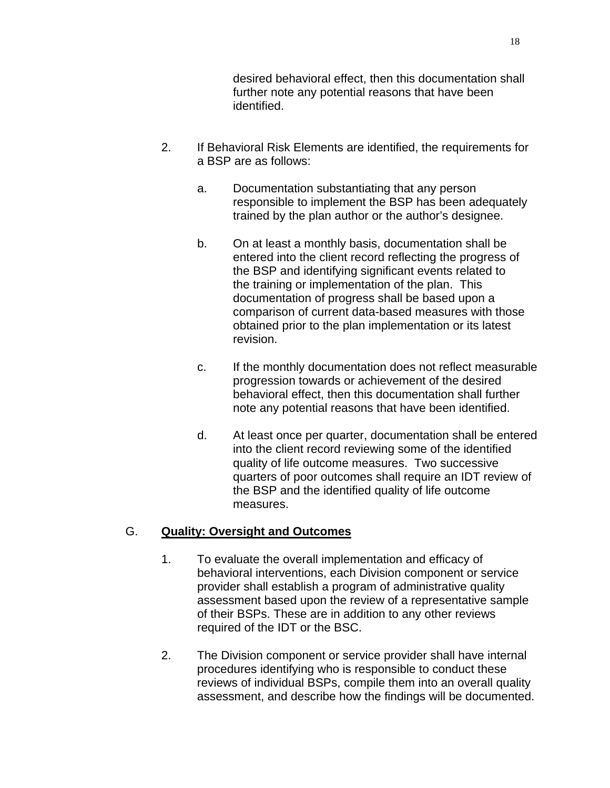desired behavioral effect, then this documentation shall further note any potential reasons that have been identified.

- 2. If Behavioral Risk Elements are identified, the requirements for a BSP are as follows:
	- a. Documentation substantiating that any person responsible to implement the BSP has been adequately trained by the plan author or the author's designee.
	- b. On at least a monthly basis, documentation shall be entered into the client record reflecting the progress of the BSP and identifying significant events related to the training or implementation of the plan. This documentation of progress shall be based upon a comparison of current data-based measures with those obtained prior to the plan implementation or its latest revision.
	- c. If the monthly documentation does not reflect measurable progression towards or achievement of the desired behavioral effect, then this documentation shall further note any potential reasons that have been identified.
	- d. At least once per quarter, documentation shall be entered into the client record reviewing some of the identified quality of life outcome measures. Two successive quarters of poor outcomes shall require an IDT review of the BSP and the identified quality of life outcome measures.

# G. **Quality: Oversight and Outcomes**

- 1. To evaluate the overall implementation and efficacy of behavioral interventions, each Division component or service provider shall establish a program of administrative quality assessment based upon the review of a representative sample of their BSPs. These are in addition to any other reviews required of the IDT or the BSC.
- 2. The Division component or service provider shall have internal procedures identifying who is responsible to conduct these reviews of individual BSPs, compile them into an overall quality assessment, and describe how the findings will be documented.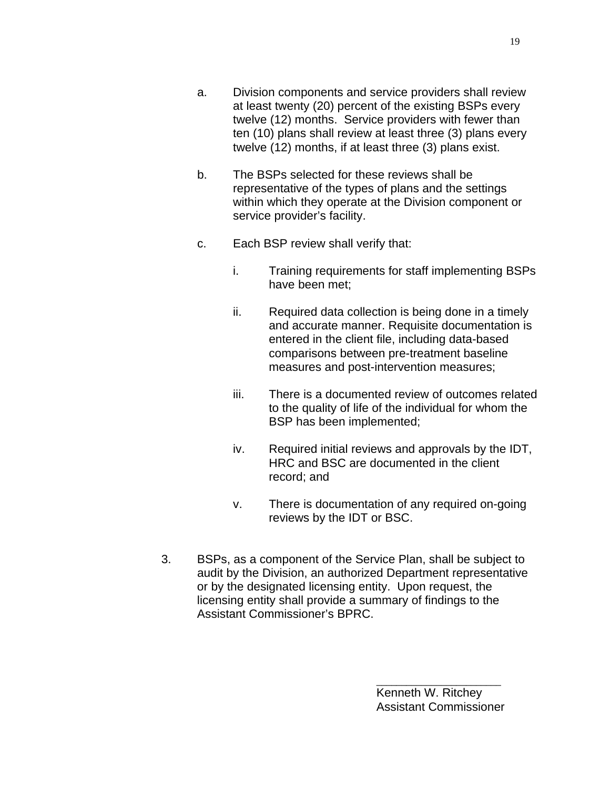- a. Division components and service providers shall review at least twenty (20) percent of the existing BSPs every twelve (12) months. Service providers with fewer than ten (10) plans shall review at least three (3) plans every twelve (12) months, if at least three (3) plans exist.
- b. The BSPs selected for these reviews shall be representative of the types of plans and the settings within which they operate at the Division component or service provider's facility.
- c. Each BSP review shall verify that:
	- i. Training requirements for staff implementing BSPs have been met;
	- ii. Required data collection is being done in a timely and accurate manner. Requisite documentation is entered in the client file, including data-based comparisons between pre-treatment baseline measures and post-intervention measures;
	- iii. There is a documented review of outcomes related to the quality of life of the individual for whom the BSP has been implemented;
	- iv. Required initial reviews and approvals by the IDT, HRC and BSC are documented in the client record; and
	- v. There is documentation of any required on-going reviews by the IDT or BSC.
- 3. BSPs, as a component of the Service Plan, shall be subject to audit by the Division, an authorized Department representative or by the designated licensing entity. Upon request, the licensing entity shall provide a summary of findings to the Assistant Commissioner's BPRC.

\_\_\_\_\_\_\_\_\_\_\_\_\_\_\_\_\_\_\_\_\_\_\_\_\_ Kenneth W. Ritchey Assistant Commissioner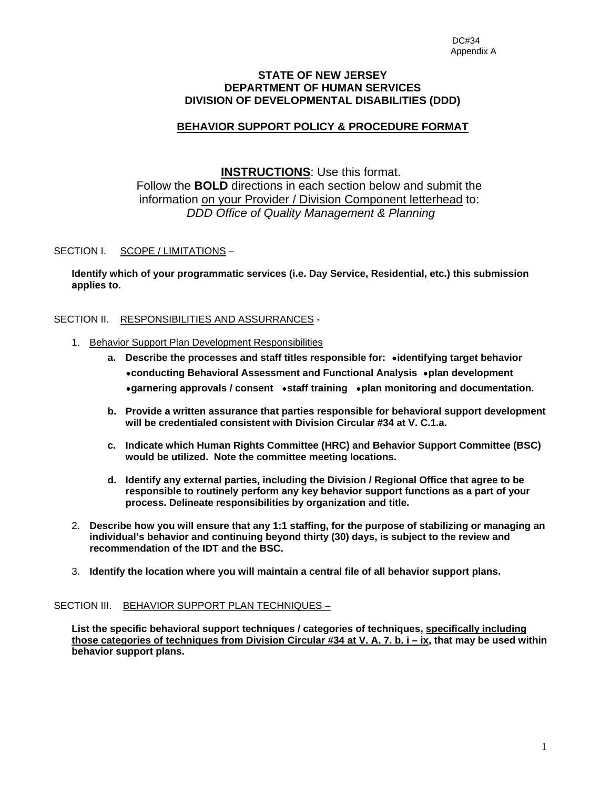#### **STATE OF NEW JERSEY DEPARTMENT OF HUMAN SERVICES DIVISION OF DEVELOPMENTAL DISABILITIES (DDD)**

## **BEHAVIOR SUPPORT POLICY & PROCEDURE FORMAT**

## **INSTRUCTIONS**: Use this format. Follow the **BOLD** directions in each section below and submit the information on your Provider / Division Component letterhead to: *DDD Office of Quality Management & Planning*

#### SECTION I. SCOPE / LIMITATIONS –

**Identify which of your programmatic services (i.e. Day Service, Residential, etc.) this submission applies to.** 

SECTION II. RESPONSIBILITIES AND ASSURRANCES -

- 1. Behavior Support Plan Development Responsibilities
	- **a. Describe the processes and staff titles responsible for:** ∙**identifying target behavior**  ∙**conducting Behavioral Assessment and Functional Analysis** ∙**plan development**  ∙**garnering approvals / consent** ∙**staff training** ∙**plan monitoring and documentation.**
	- **b. Provide a written assurance that parties responsible for behavioral support development will be credentialed consistent with Division Circular #34 at V. C.1.a.**
	- **c. Indicate which Human Rights Committee (HRC) and Behavior Support Committee (BSC) would be utilized. Note the committee meeting locations.**
	- **d. Identify any external parties, including the Division / Regional Office that agree to be responsible to routinely perform any key behavior support functions as a part of your process. Delineate responsibilities by organization and title.**
- 2. **Describe how you will ensure that any 1:1 staffing, for the purpose of stabilizing or managing an individual's behavior and continuing beyond thirty (30) days, is subject to the review and recommendation of the IDT and the BSC.**
- 3. **Identify the location where you will maintain a central file of all behavior support plans.**

#### SECTION III. BEHAVIOR SUPPORT PLAN TECHNIQUES -

**List the specific behavioral support techniques / categories of techniques, specifically including those categories of techniques from Division Circular #34 at V. A. 7. b. i – ix, that may be used within behavior support plans.**